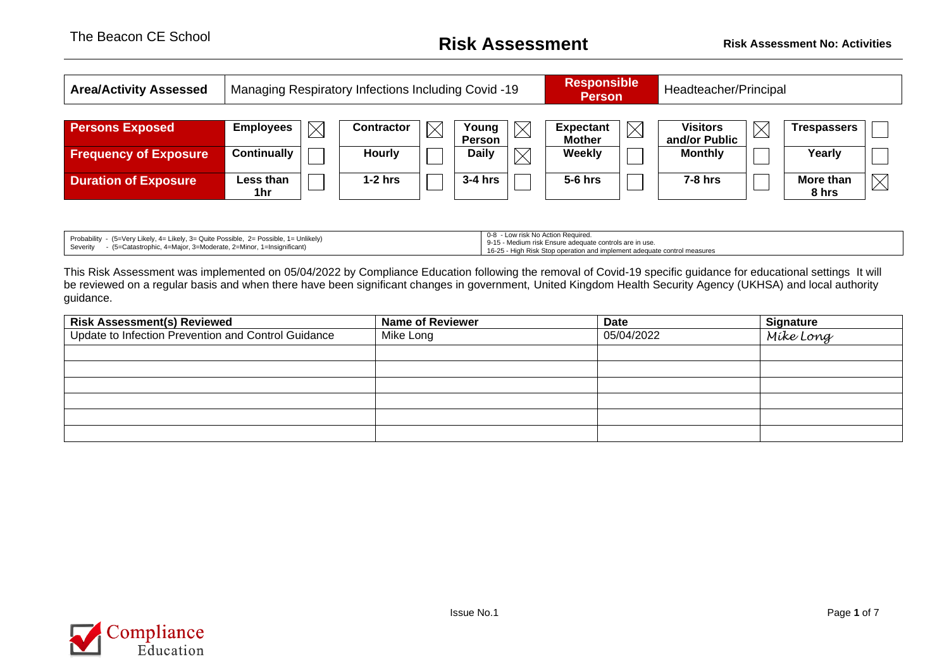## The Beacon CE School **Risk Assessment Risk Assessment No: Activities**

| <b>Area/Activity Assessed</b> |                    |          | Managing Respiratory Infections Including Covid -19 |             |                 |          | <b>Responsible</b><br><b>Person</b> | Headteacher/Principal            |             |                    |             |
|-------------------------------|--------------------|----------|-----------------------------------------------------|-------------|-----------------|----------|-------------------------------------|----------------------------------|-------------|--------------------|-------------|
| <b>Persons Exposed</b>        | <b>Employees</b>   | $\times$ | <b>Contractor</b>                                   | $\boxtimes$ | Young<br>Person | $\times$ | <b>Expectant</b><br><b>Mother</b>   | <b>Visitors</b><br>and/or Public | $\boxtimes$ | <b>Trespassers</b> |             |
| <b>Frequency of Exposure</b>  | <b>Continually</b> |          | Hourly                                              |             | <b>Daily</b>    |          | <b>Weekly</b>                       | <b>Monthly</b>                   |             | Yearly             |             |
| <b>Duration of Exposure</b>   | Less than<br>1hr   |          | $1-2$ hrs                                           |             | 3-4 hrs         |          | $5-6$ hrs                           | $7-8$ hrs                        |             | More than<br>8 hrs | $\boxtimes$ |

| Probability - (5=Very Likely, 4= Likely, 3= Quite Possible, 2= Possible, 1= Unlikely) | 0-8 - Low risk No Action Required.<br>9-15 - Medium risk Ensure adequate controls are in use. |
|---------------------------------------------------------------------------------------|-----------------------------------------------------------------------------------------------|
| Severity - (5=Catastrophic, 4=Major, 3=Moderate, 2=Minor, 1=Insignificant)            | 16-25 - High Risk Stop operation and implement adequate control measures                      |

This Risk Assessment was implemented on 05/04/2022 by Compliance Education following the removal of Covid-19 specific guidance for educational settings It will be reviewed on a regular basis and when there have been significant changes in government, United Kingdom Health Security Agency (UKHSA) and local authority guidance.

| <b>Risk Assessment(s) Reviewed</b>                  | <b>Name of Reviewer</b> | Date       | <b>Signature</b> |
|-----------------------------------------------------|-------------------------|------------|------------------|
| Update to Infection Prevention and Control Guidance | Mike Long               | 05/04/2022 | Míke Long        |
|                                                     |                         |            |                  |
|                                                     |                         |            |                  |
|                                                     |                         |            |                  |
|                                                     |                         |            |                  |
|                                                     |                         |            |                  |
|                                                     |                         |            |                  |

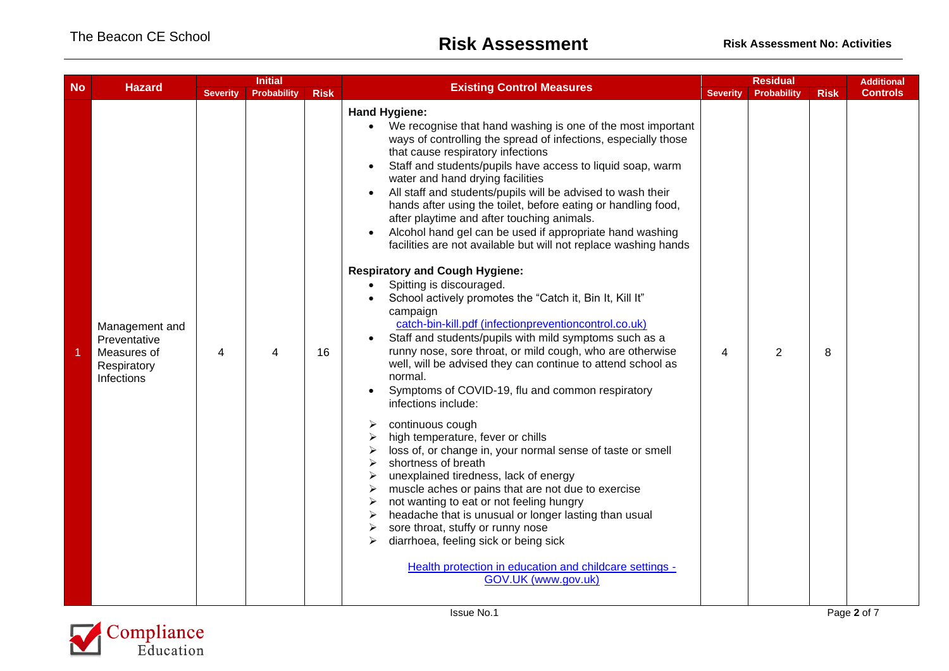|           |                                                                            | <b>Initial</b>                                       |   |    |                                                                                                                                                                                                                                                                                                                                                                                                                                                                                                                                                                                                                                                                                                                                                                                                                                                                                                                                                                                                                                                                                                                                                                                                                                                                                                                                                                                                                                                                                                                                                                                                                                           | <b>Residual</b> |                    |             | <b>Additional</b> |
|-----------|----------------------------------------------------------------------------|------------------------------------------------------|---|----|-------------------------------------------------------------------------------------------------------------------------------------------------------------------------------------------------------------------------------------------------------------------------------------------------------------------------------------------------------------------------------------------------------------------------------------------------------------------------------------------------------------------------------------------------------------------------------------------------------------------------------------------------------------------------------------------------------------------------------------------------------------------------------------------------------------------------------------------------------------------------------------------------------------------------------------------------------------------------------------------------------------------------------------------------------------------------------------------------------------------------------------------------------------------------------------------------------------------------------------------------------------------------------------------------------------------------------------------------------------------------------------------------------------------------------------------------------------------------------------------------------------------------------------------------------------------------------------------------------------------------------------------|-----------------|--------------------|-------------|-------------------|
| <b>No</b> | <b>Hazard</b>                                                              | <b>Risk</b><br><b>Probability</b><br><b>Severity</b> |   |    | <b>Existing Control Measures</b>                                                                                                                                                                                                                                                                                                                                                                                                                                                                                                                                                                                                                                                                                                                                                                                                                                                                                                                                                                                                                                                                                                                                                                                                                                                                                                                                                                                                                                                                                                                                                                                                          | <b>Severity</b> | <b>Probability</b> | <b>Risk</b> | <b>Controls</b>   |
|           | Management and<br>Preventative<br>Measures of<br>Respiratory<br>Infections | 4                                                    | 4 | 16 | <b>Hand Hygiene:</b><br>We recognise that hand washing is one of the most important<br>$\bullet$<br>ways of controlling the spread of infections, especially those<br>that cause respiratory infections<br>Staff and students/pupils have access to liquid soap, warm<br>water and hand drying facilities<br>All staff and students/pupils will be advised to wash their<br>hands after using the toilet, before eating or handling food,<br>after playtime and after touching animals.<br>Alcohol hand gel can be used if appropriate hand washing<br>facilities are not available but will not replace washing hands<br><b>Respiratory and Cough Hygiene:</b><br>Spitting is discouraged.<br>School actively promotes the "Catch it, Bin It, Kill It"<br>campaign<br>catch-bin-kill.pdf (infectionpreventioncontrol.co.uk)<br>Staff and students/pupils with mild symptoms such as a<br>runny nose, sore throat, or mild cough, who are otherwise<br>well, will be advised they can continue to attend school as<br>normal.<br>Symptoms of COVID-19, flu and common respiratory<br>infections include:<br>continuous cough<br>➤<br>high temperature, fever or chills<br>loss of, or change in, your normal sense of taste or smell<br>shortness of breath<br>unexplained tiredness, lack of energy<br>muscle aches or pains that are not due to exercise<br>not wanting to eat or not feeling hungry<br>➤<br>headache that is unusual or longer lasting than usual<br>➤<br>sore throat, stuffy or runny nose<br>diarrhoea, feeling sick or being sick<br>Health protection in education and childcare settings -<br>GOV.UK (www.gov.uk) | 4               | 2                  | 8           |                   |

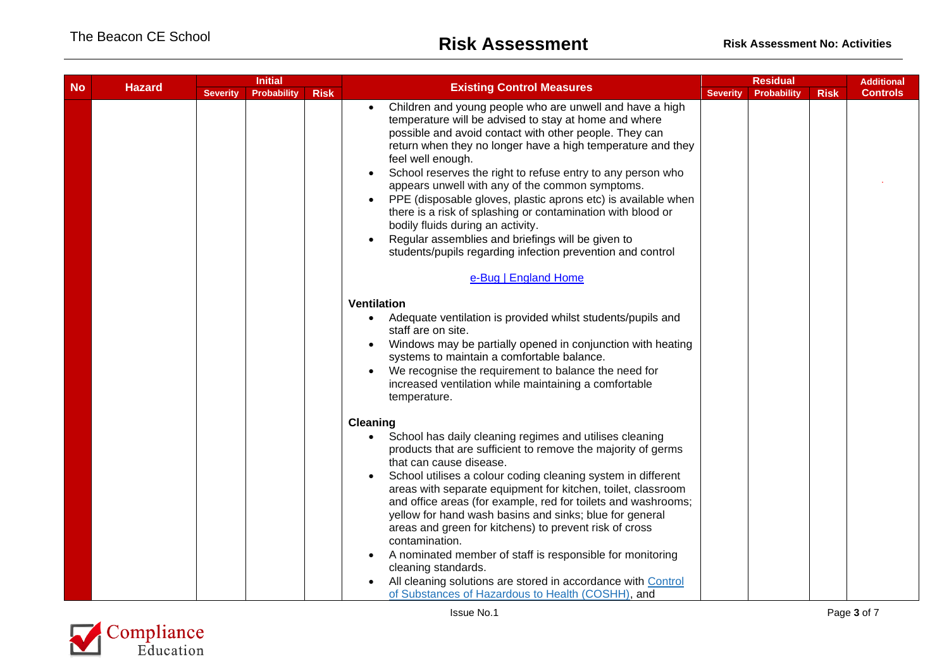|           |               | <b>Initial</b>  |                            |  |                                                                                                                                                                                                                                                                                                                                                                                                                                                                                                                                                                                                                                                                                                                              |                 | <b>Residual</b> |             | <b>Additional</b> |  |
|-----------|---------------|-----------------|----------------------------|--|------------------------------------------------------------------------------------------------------------------------------------------------------------------------------------------------------------------------------------------------------------------------------------------------------------------------------------------------------------------------------------------------------------------------------------------------------------------------------------------------------------------------------------------------------------------------------------------------------------------------------------------------------------------------------------------------------------------------------|-----------------|-----------------|-------------|-------------------|--|
| <b>No</b> | <b>Hazard</b> | <b>Severity</b> | <b>Risk</b><br>Probability |  | <b>Existing Control Measures</b>                                                                                                                                                                                                                                                                                                                                                                                                                                                                                                                                                                                                                                                                                             | <b>Severity</b> | Probability     | <b>Risk</b> | <b>Controls</b>   |  |
|           |               |                 |                            |  | Children and young people who are unwell and have a high<br>temperature will be advised to stay at home and where<br>possible and avoid contact with other people. They can<br>return when they no longer have a high temperature and they<br>feel well enough.<br>School reserves the right to refuse entry to any person who<br>appears unwell with any of the common symptoms.<br>PPE (disposable gloves, plastic aprons etc) is available when<br>there is a risk of splashing or contamination with blood or<br>bodily fluids during an activity.<br>Regular assemblies and briefings will be given to<br>students/pupils regarding infection prevention and control                                                    |                 |                 |             |                   |  |
|           |               |                 |                            |  | e-Bug   England Home<br><b>Ventilation</b><br>Adequate ventilation is provided whilst students/pupils and<br>staff are on site.<br>Windows may be partially opened in conjunction with heating<br>systems to maintain a comfortable balance.<br>We recognise the requirement to balance the need for<br>increased ventilation while maintaining a comfortable<br>temperature.                                                                                                                                                                                                                                                                                                                                                |                 |                 |             |                   |  |
|           |               |                 |                            |  | Cleaning<br>School has daily cleaning regimes and utilises cleaning<br>$\bullet$<br>products that are sufficient to remove the majority of germs<br>that can cause disease.<br>School utilises a colour coding cleaning system in different<br>areas with separate equipment for kitchen, toilet, classroom<br>and office areas (for example, red for toilets and washrooms;<br>yellow for hand wash basins and sinks; blue for general<br>areas and green for kitchens) to prevent risk of cross<br>contamination.<br>A nominated member of staff is responsible for monitoring<br>cleaning standards.<br>All cleaning solutions are stored in accordance with Control<br>of Substances of Hazardous to Health (COSHH), and |                 |                 |             |                   |  |

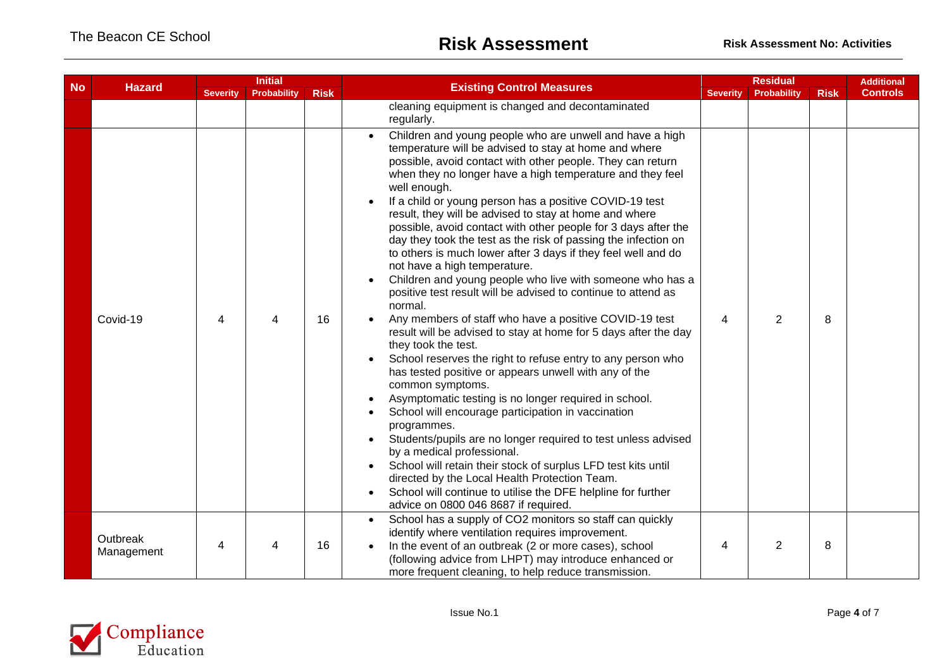| <b>No</b><br><b>Hazard</b> |                        | <b>Initial</b>  |             |    |                                                                                                                                                                                                                                                                                                                                                                                                                                                                                                                                                                                                                                                                                                                                                                                                                                                                                                                                                                                                                                                                                                                                                                                                                                                                                                                                                                                                                                                                                                                        | <b>Residual</b> |                |             | <b>Additional</b> |
|----------------------------|------------------------|-----------------|-------------|----|------------------------------------------------------------------------------------------------------------------------------------------------------------------------------------------------------------------------------------------------------------------------------------------------------------------------------------------------------------------------------------------------------------------------------------------------------------------------------------------------------------------------------------------------------------------------------------------------------------------------------------------------------------------------------------------------------------------------------------------------------------------------------------------------------------------------------------------------------------------------------------------------------------------------------------------------------------------------------------------------------------------------------------------------------------------------------------------------------------------------------------------------------------------------------------------------------------------------------------------------------------------------------------------------------------------------------------------------------------------------------------------------------------------------------------------------------------------------------------------------------------------------|-----------------|----------------|-------------|-------------------|
|                            |                        | <b>Severity</b> | Probability |    | <b>Existing Control Measures</b><br><b>Risk</b>                                                                                                                                                                                                                                                                                                                                                                                                                                                                                                                                                                                                                                                                                                                                                                                                                                                                                                                                                                                                                                                                                                                                                                                                                                                                                                                                                                                                                                                                        |                 | Probability    | <b>Risk</b> | <b>Controls</b>   |
|                            |                        |                 |             |    | cleaning equipment is changed and decontaminated<br>regularly.                                                                                                                                                                                                                                                                                                                                                                                                                                                                                                                                                                                                                                                                                                                                                                                                                                                                                                                                                                                                                                                                                                                                                                                                                                                                                                                                                                                                                                                         |                 |                |             |                   |
|                            | Covid-19               | 4               | 4           | 16 | Children and young people who are unwell and have a high<br>temperature will be advised to stay at home and where<br>possible, avoid contact with other people. They can return<br>when they no longer have a high temperature and they feel<br>well enough.<br>If a child or young person has a positive COVID-19 test<br>result, they will be advised to stay at home and where<br>possible, avoid contact with other people for 3 days after the<br>day they took the test as the risk of passing the infection on<br>to others is much lower after 3 days if they feel well and do<br>not have a high temperature.<br>Children and young people who live with someone who has a<br>positive test result will be advised to continue to attend as<br>normal.<br>Any members of staff who have a positive COVID-19 test<br>result will be advised to stay at home for 5 days after the day<br>they took the test.<br>School reserves the right to refuse entry to any person who<br>has tested positive or appears unwell with any of the<br>common symptoms.<br>Asymptomatic testing is no longer required in school.<br>School will encourage participation in vaccination<br>programmes.<br>Students/pupils are no longer required to test unless advised<br>by a medical professional.<br>School will retain their stock of surplus LFD test kits until<br>directed by the Local Health Protection Team.<br>School will continue to utilise the DFE helpline for further<br>advice on 0800 046 8687 if required. | $\overline{4}$  | $\overline{2}$ | 8           |                   |
|                            | Outbreak<br>Management | 4               | 4           | 16 | School has a supply of CO2 monitors so staff can quickly<br>$\bullet$<br>identify where ventilation requires improvement.<br>In the event of an outbreak (2 or more cases), school<br>(following advice from LHPT) may introduce enhanced or<br>more frequent cleaning, to help reduce transmission.                                                                                                                                                                                                                                                                                                                                                                                                                                                                                                                                                                                                                                                                                                                                                                                                                                                                                                                                                                                                                                                                                                                                                                                                                   | 4               | $\overline{2}$ | 8           |                   |

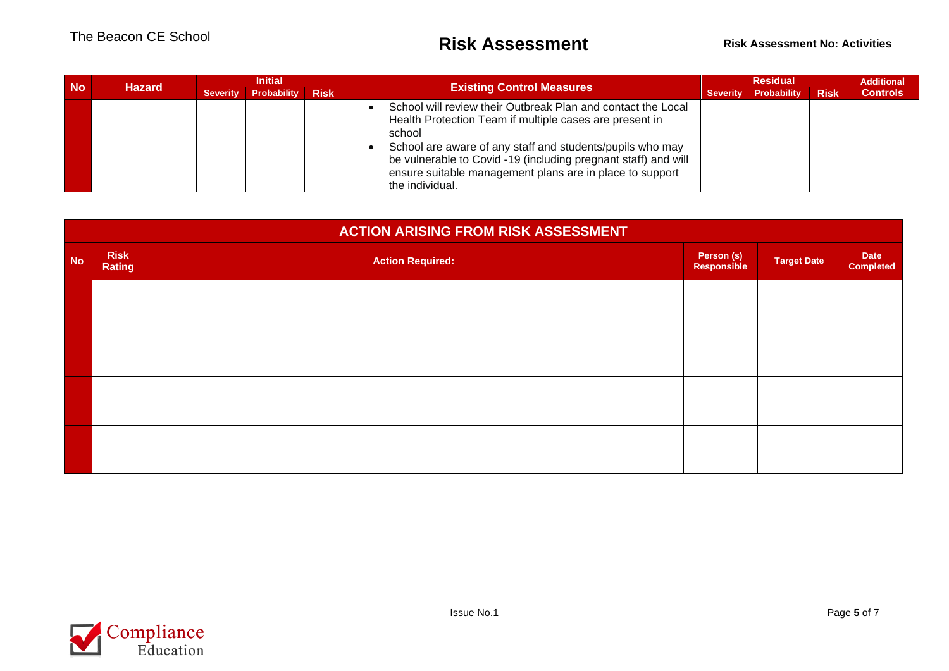| <b>No</b> | <b>Hazard</b> | <b>Initial</b>                                |  |  |                                                                                                                                                                                                                                                                                                                                                 |                 | <b>Residual</b> |             |                 |  |
|-----------|---------------|-----------------------------------------------|--|--|-------------------------------------------------------------------------------------------------------------------------------------------------------------------------------------------------------------------------------------------------------------------------------------------------------------------------------------------------|-----------------|-----------------|-------------|-----------------|--|
|           |               | <b>Risk</b><br>Probability<br><b>Severity</b> |  |  | <b>Existing Control Measures</b>                                                                                                                                                                                                                                                                                                                | <b>Severity</b> | Probability     | <b>Risk</b> | <b>Controls</b> |  |
|           |               |                                               |  |  | School will review their Outbreak Plan and contact the Local<br>Health Protection Team if multiple cases are present in<br>school<br>School are aware of any staff and students/pupils who may<br>be vulnerable to Covid -19 (including pregnant staff) and will<br>ensure suitable management plans are in place to support<br>the individual. |                 |                 |             |                 |  |

| <b>ACTION ARISING FROM RISK ASSESSMENT</b> |                         |                           |                    |                          |  |  |  |  |  |  |  |  |
|--------------------------------------------|-------------------------|---------------------------|--------------------|--------------------------|--|--|--|--|--|--|--|--|
| <b>Risk</b><br>Rating                      | <b>Action Required:</b> | Person (s)<br>Responsible | <b>Target Date</b> | Date<br><b>Completed</b> |  |  |  |  |  |  |  |  |
|                                            |                         |                           |                    |                          |  |  |  |  |  |  |  |  |
|                                            |                         |                           |                    |                          |  |  |  |  |  |  |  |  |
|                                            |                         |                           |                    |                          |  |  |  |  |  |  |  |  |
|                                            |                         |                           |                    |                          |  |  |  |  |  |  |  |  |
|                                            |                         |                           |                    |                          |  |  |  |  |  |  |  |  |
|                                            |                         |                           |                    |                          |  |  |  |  |  |  |  |  |
|                                            |                         |                           |                    |                          |  |  |  |  |  |  |  |  |

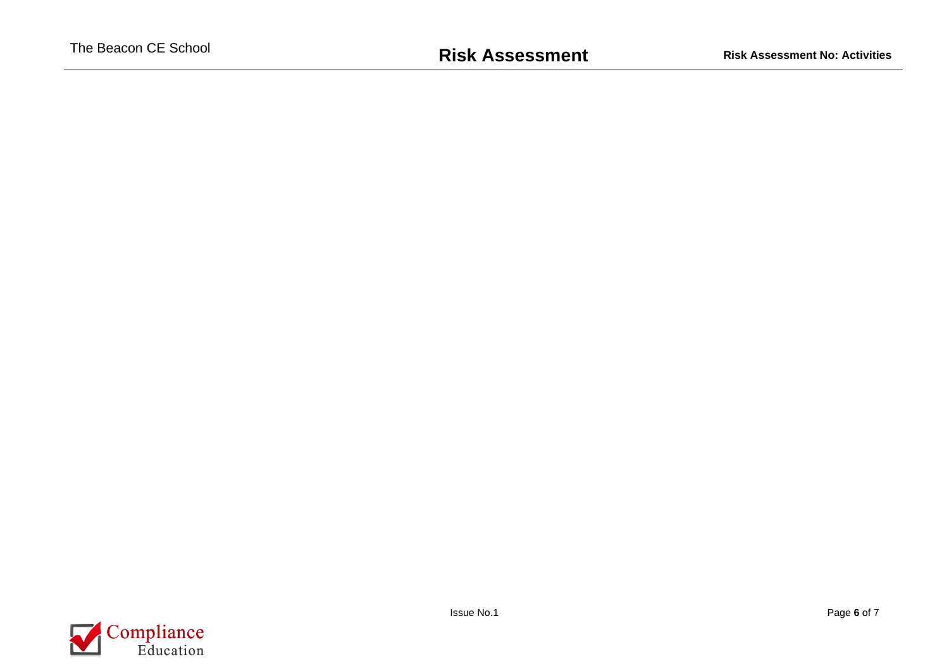